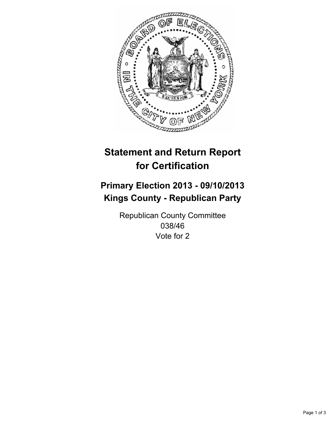

# **Statement and Return Report for Certification**

## **Primary Election 2013 - 09/10/2013 Kings County - Republican Party**

Republican County Committee 038/46 Vote for 2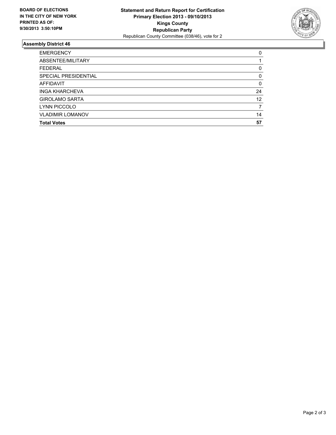

### **Assembly District 46**

| <b>EMERGENCY</b>        | 0        |
|-------------------------|----------|
| ABSENTEE/MILITARY       |          |
| <b>FEDERAL</b>          | 0        |
| SPECIAL PRESIDENTIAL    | 0        |
| <b>AFFIDAVIT</b>        | $\Omega$ |
| <b>INGA KHARCHEVA</b>   | 24       |
| <b>GIROLAMO SARTA</b>   | 12       |
| LYNN PICCOLO            |          |
| <b>VLADIMIR LOMANOV</b> | 14       |
| <b>Total Votes</b>      | 57       |